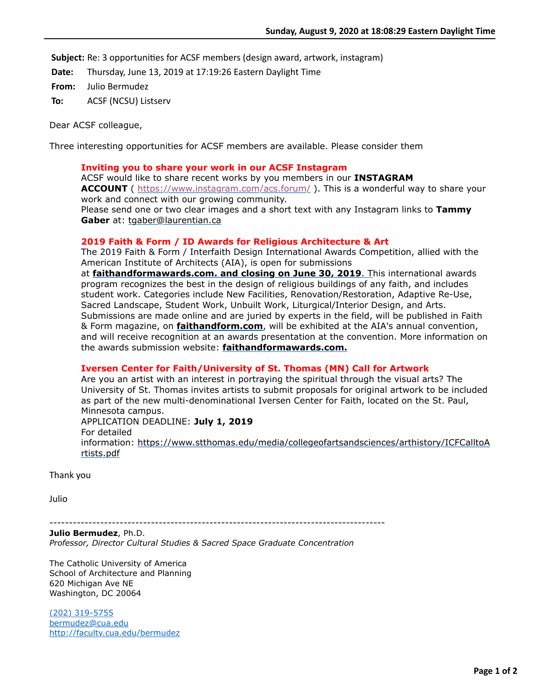**Subject:** Re: 3 opportunities for ACSF members (design award, artwork, instagram)

**Date:** Thursday, June 13, 2019 at 17:19:26 Eastern Daylight Time

**From:** Julio Bermudez

**To:** ACSF (NCSU) Listserv

Dear ACSF colleague,

Three interesting opportunities for ACSF members are available. Please consider them

## **Inviting you to share your work in our ACSF Instagram**

ACSF would like to share recent works by you members in our **INSTAGRAM ACCOUNT** (<https://www.instagram.com/acs.forum/> ). This is a wonderful way to share your work and connect with our growing community.

Please send one or two clear images and a short text with any Instagram links to **Tammy Gaber** at: [tgaber@laurentian.ca](mailto:tgaber@laurentian.ca)

## **2019 Faith & Form / ID Awards for Religious Architecture & Art**

The 2019 Faith & Form / Interfaith Design International Awards Competition, allied with the American Institute of Architects (AIA), is open for submissions

at **[faithandformawards.com. and closing on June 30, 2019](http://faithandformawards.com.%20t/)**. This international awards program recognizes the best in the design of religious buildings of any faith, and includes student work. Categories include New Facilities, Renovation/Restoration, Adaptive Re-Use, Sacred Landscape, Student Work, Unbuilt Work, Liturgical/Interior Design, and Arts. Submissions are made online and are juried by experts in the field, will be published in Faith & Form magazine, on **[faithandform.com](http://faithandform.com/)**, will be exhibited at the AIA's annual convention, and will receive recognition at an awards presentation at the convention. More information on the awards submission website: **[faithandformawards.com.](http://faithandformawards.com.%20e/)**

## **Iversen Center for Faith/University of St. Thomas (MN) Call for Artwork**

Are you an artist with an interest in portraying the spiritual through the visual arts? The University of St. Thomas invites artists to submit proposals for original artwork to be included as part of the new multi-denominational Iversen Center for Faith, located on the St. Paul, Minnesota campus. APPLICATION DEADLINE: **July 1, 2019** For detailed [information: https://www.stthomas.edu/media/collegeofartsandsciences/arthistory/ICFCalltoA](https://www.stthomas.edu/media/collegeofartsandsciences/arthistory/ICFCalltoArtists.pdf) rtists.pdf

Thank you

Julio

--------------------------------------------------------------------------------------

**Julio Bermudez**, Ph.D. *Professor, Director Cultural Studies & Sacred Space Graduate Concentration*

The Catholic University of America School of Architecture and Planning 620 Michigan Ave NE Washington, DC 20064

[\(202\) 319-5755](tel:(202)%20319-5755) [bermudez@cua.edu](http://bermudez@cua.edu/) <http://faculty.cua.edu/bermudez>